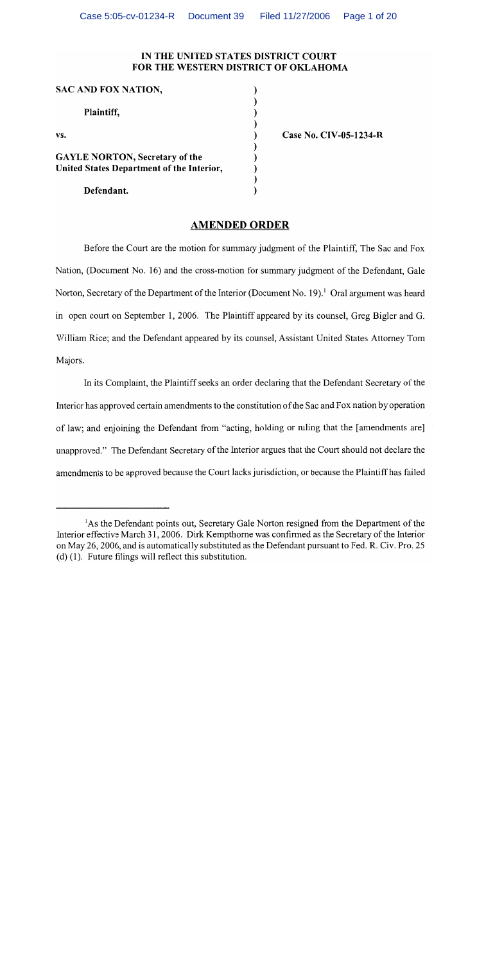## IN THE UNITED STATES DISTRICT COURT FOR THE WESTERN DISTRICT OF OKLAHOMA

 $\mathcal{E}$  $\lambda$  $\lambda$ 

| <b>SAC AND FOX NATION,</b>                |  |
|-------------------------------------------|--|
| Plaintiff,                                |  |
| VS.                                       |  |
| <b>GAYLE NORTON, Secretary of the</b>     |  |
| United States Department of the Interior, |  |
|                                           |  |
| Defendant                                 |  |

**Case No. CIV-05-1234-R** 

## **AMENDED ORDER**

Before the Court are the motion for summary judgment of the Plaintiff, The Sac and Fox Nation, (Document No. 16) and the cross-motion for summary judgment of the Defendant, Gale Norton, Secretary of the Department of the Interior (Document No. 19).<sup>1</sup> Oral argument was heard in open court on September 1, 2006. The Plaintiff appeared by its counsel, Greg Bigler and G. William Rice; and the Defendant appeared by its counsel, Assistant United States Attorney Tom Majors.

In its Complaint, the Plaintiff seeks an order declaring that the Defendant Secretary of the Interior has approved certain amendments to the constitution of the Sac and Fox nation by operation of law; and enjoining the Defendant from "acting, holding or ruling that the [amendments are] unapproved." The Defendant Secretary of the Interior argues that the Court should not declare the amendments to be approved because the Court lacks jurisdiction, or because the Plaintiff has failed

<sup>&</sup>lt;sup>1</sup>As the Defendant points out, Secretary Gale Norton resigned from the Department of the Interior effective March 31, 2006. Dirk Kempthorne was confirmed as the Secretary of the Interior on May 26, 2006, and is automatically substituted as the Defendant pursuant to Fed. R. Civ. Pro. 25  $(d)$  (1). Future filings will reflect this substitution.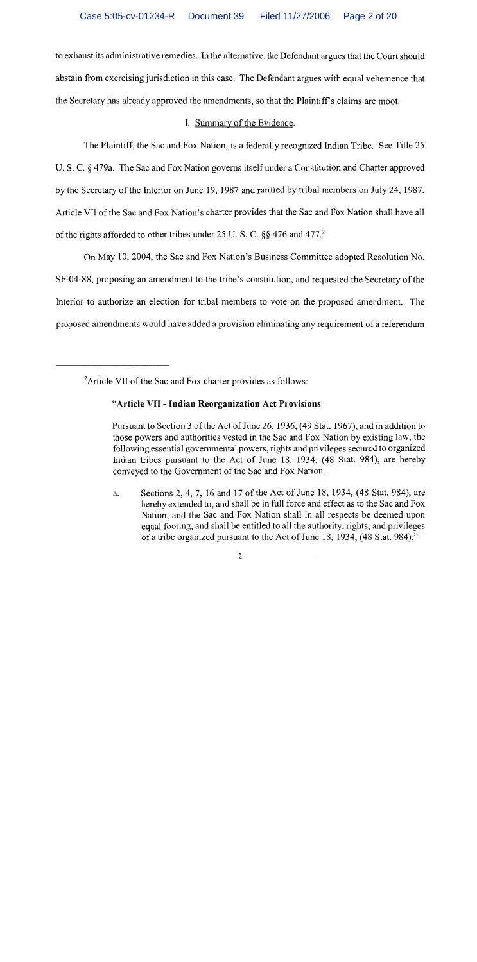to exhaust its administrative remedies. In the alternative, the Defendant argues that the Court should abstain from exercising jurisdiction in this case. The Defendant argues with equal vehemence that the Secretary has already approved the amendments, so that the Plaintiff's claims are moot.

# I. Summary of the Evidence.

The Plaintiff, the Sac and Fox Nation, is a federally recognized Indian Tribe. See Title 25 U. S. C. § 479a. The Sac and Fox Nation governs itself under a Constitution and Charter approved by the Secretary of the Interior on June 19, 1987 and ratified by tribal members on July 24, 1987. Article VII of the Sac and Fox Nation's charter provides that the Sac and Fox Nation shall have all of the rights afforded to other tribes under 25 U.S.C. §§ 476 and 477.<sup>2</sup>

On May 10, 2004, the Sac and Fox Nation's Business Committee adopted Resolution No. SF-04-88, proposing an amendment to the tribe's constitution, and requested the Secretary of the Interior to authorize an election for tribal members to vote on the proposed amendment. The proposed amendments would have added a provision eliminating any requirement of a referendum

# "Article VII - Indian Reorganization Act Provisions

Pursuant to Section 3 of the Act of June 26, 1936, (49 Stat. 1967), and in addition to those powers and authorities vested in the Sac and Fox Nation by existing law, the following essential governmental powers, rights and privileges secured to organized Indian tribes pursuant to the Act of June 18, 1934, (48 Stat. 984), are hereby conveyed to the Government of the Sac and Fox Nation.

Sections 2, 4, 7, 16 and 17 of the Act of June 18, 1934, (48 Stat. 984), are a. hereby extended to, and shall be in full force and effect as to the Sac and Fox Nation, and the Sac and Fox Nation shall in all respects be deemed upon equal footing, and shall be entitled to all the authority, rights, and privileges of a tribe organized pursuant to the Act of June 18, 1934, (48 Stat. 984)."

<sup>&</sup>lt;sup>2</sup>Article VII of the Sac and Fox charter provides as follows: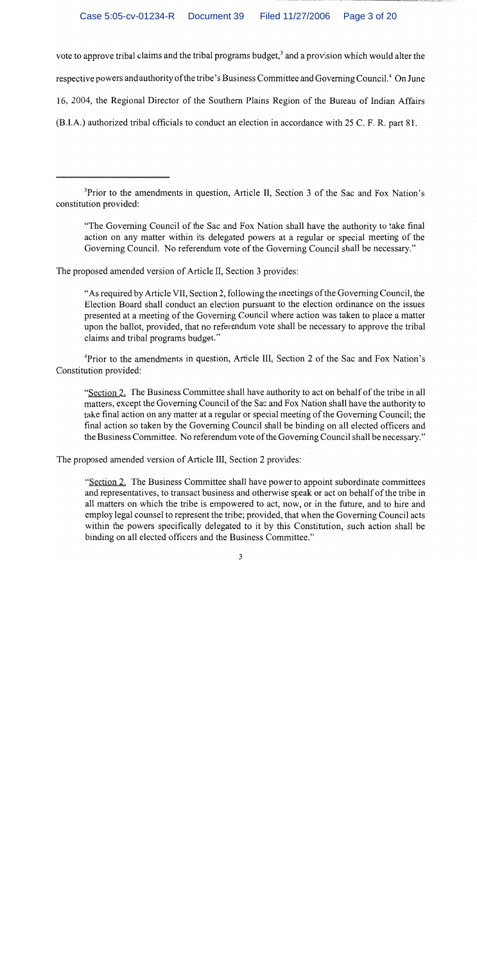vote to approve tribal claims and the tribal programs budget,<sup>3</sup> and a provision which would alter the respective powers and authority of the tribe's Business Committee and Governing Council.<sup>4</sup> On June 16, 2004, the Regional Director of the Southern Plains Region of the Bureau of Indian Affairs (B.I.A.) authorized tribal officials to conduct an election in accordance with 25 C. F. R. part 81.

"The Governing Council of the Sac and Fox Nation shall have the authority to take final action on any matter within its delegated powers at a regular or special meeting of the Governing Council. No referendum vote of the Governing Council shall be necessary."

The proposed amended version of Article II, Section 3 provides:

"As required by Article VII, Section 2, following the meetings of the Governing Council, the Election Board shall conduct an election pursuant to the election ordinance on the issues presented at a meeting of the Governing Council where action was taken to place a matter upon the ballot, provided, that no referendum vote shall be necessary to approve the tribal claims and tribal programs budget."

<sup>4</sup>Prior to the amendments in question, Article III, Section 2 of the Sac and Fox Nation's Constitution provided:

"Section 2. The Business Committee shall have authority to act on behalf of the tribe in all matters, except the Governing Council of the Sac and Fox Nation shall have the authority to take final action on any matter at a regular or special meeting of the Governing Council; the final action so taken by the Governing Council shall be binding on all elected officers and the Business Committee. No referendum vote of the Governing Council shall be necessary."

The proposed amended version of Article III, Section 2 provides:

"Section 2. The Business Committee shall have power to appoint subordinate committees and representatives, to transact business and otherwise speak or act on behalf of the tribe in all matters on which the tribe is empowered to act, now, or in the future, and to hire and employ legal counsel to represent the tribe; provided, that when the Governing Council acts within the powers specifically delegated to it by this Constitution, such action shall be binding on all elected officers and the Business Committee."

<sup>&</sup>lt;sup>3</sup>Prior to the amendments in question, Article II, Section 3 of the Sac and Fox Nation's constitution provided: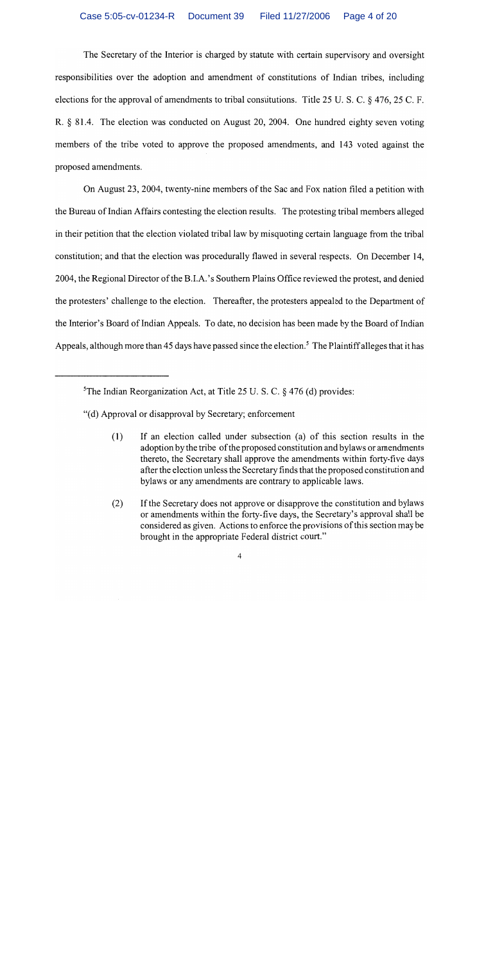The Secretary of the Interior is charged by statute with certain supervisory and oversight responsibilities over the adoption and amendment of constitutions of Indian tribes, including elections for the approval of amendments to tribal constitutions. Title 25 U.S.C. § 476, 25 C.F. R. § 81.4. The election was conducted on August 20, 2004. One hundred eighty seven voting members of the tribe voted to approve the proposed amendments, and 143 voted against the proposed amendments.

On August 23, 2004, twenty-nine members of the Sac and Fox nation filed a petition with the Bureau of Indian Affairs contesting the election results. The protesting tribal members alleged in their petition that the election violated tribal law by misquoting certain language from the tribal constitution; and that the election was procedurally flawed in several respects. On December 14, 2004, the Regional Director of the B.I.A.'s Southern Plains Office reviewed the protest, and denied the protesters' challenge to the election. Thereafter, the protesters appealed to the Department of the Interior's Board of Indian Appeals. To date, no decision has been made by the Board of Indian Appeals, although more than 45 days have passed since the election.<sup>5</sup> The Plaintiff alleges that it has

- "(d) Approval or disapproval by Secretary; enforcement
	- $(1)$ If an election called under subsection (a) of this section results in the adoption by the tribe of the proposed constitution and bylaws or amendments thereto, the Secretary shall approve the amendments within forty-five days after the election unless the Secretary finds that the proposed constitution and bylaws or any amendments are contrary to applicable laws.
	- If the Secretary does not approve or disapprove the constitution and bylaws  $(2)$ or amendments within the forty-five days, the Secretary's approval shall be considered as given. Actions to enforce the provisions of this section may be brought in the appropriate Federal district court."

<sup>&</sup>lt;sup>5</sup>The Indian Reorganization Act, at Title 25 U.S.C.  $\S$  476 (d) provides: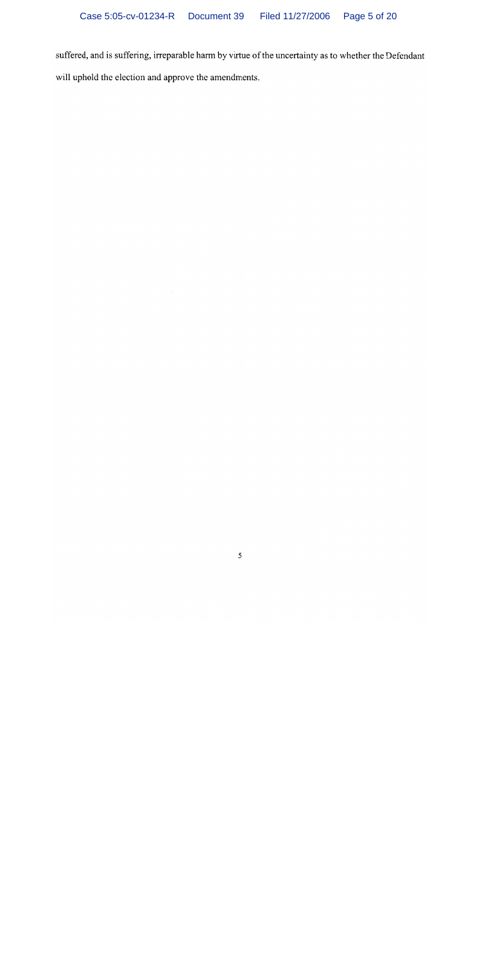suffered, and is suffering, irreparable harm by virtue of the uncertainty as to whether the Defendant will uphold the election and approve the amendments.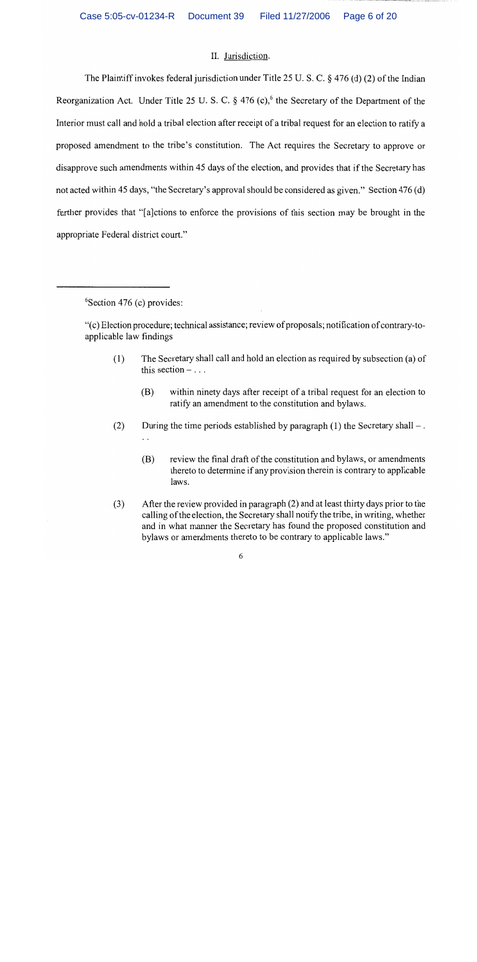#### II. Jurisdiction.

The Plaintiff invokes federal jurisdiction under Title 25 U.S.C.  $\S$  476 (d) (2) of the Indian Reorganization Act. Under Title 25 U.S.C. § 476 (c),<sup>6</sup> the Secretary of the Department of the Interior must call and hold a tribal election after receipt of a tribal request for an election to ratify a proposed amendment to the tribe's constitution. The Act requires the Secretary to approve or disapprove such amendments within 45 days of the election, and provides that if the Secretary has not acted within 45 days, "the Secretary's approval should be considered as given." Section 476 (d) further provides that "alctions to enforce the provisions of this section may be brought in the appropriate Federal district court."

 $6$ Section 476 (c) provides:

- The Secretary shall call and hold an election as required by subsection (a) of  $(1)$ this section  $-$ ...
	- within ninety days after receipt of a tribal request for an election to (B) ratify an amendment to the constitution and bylaws.
- During the time periods established by paragraph  $(1)$  the Secretary shall –.  $(2)$ 
	- review the final draft of the constitution and bylaws, or amendments (B) thereto to determine if any provision therein is contrary to applicable laws.
- After the review provided in paragraph (2) and at least thirty days prior to the  $(3)$ calling of the election, the Secretary shall notify the tribe, in writing, whether and in what manner the Secretary has found the proposed constitution and bylaws or amendments thereto to be contrary to applicable laws."

<sup>&</sup>quot;(c) Election procedure; technical assistance; review of proposals; notification of contrary-toapplicable law findings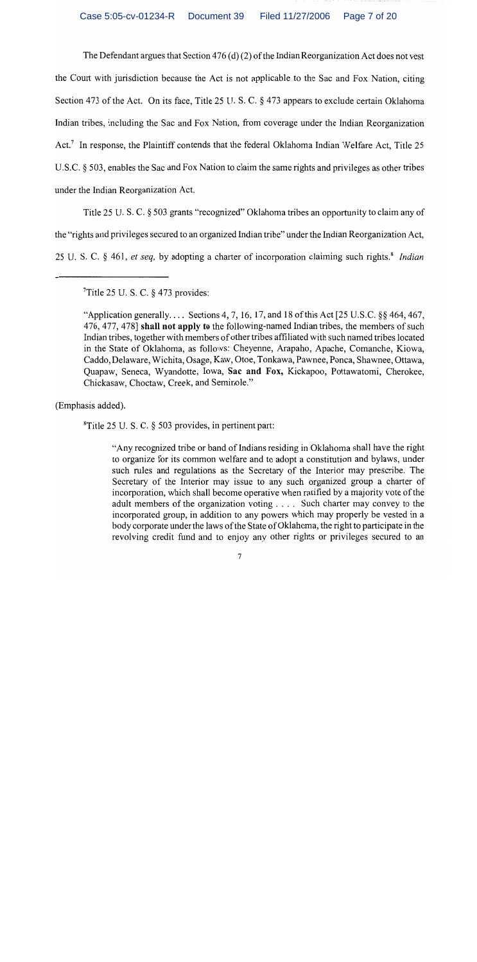The Defendant argues that Section  $476(d)(2)$  of the Indian Reorganization Act does not vest the Court with jurisdiction because the Act is not applicable to the Sac and Fox Nation, citing Section 473 of the Act. On its face, Title 25 U.S.C. § 473 appears to exclude certain Oklahoma Indian tribes, including the Sac and Fox Nation, from coverage under the Indian Reorganization Act.<sup>7</sup> In response, the Plaintiff contends that the federal Oklahoma Indian Welfare Act. Title 25 U.S.C. § 503, enables the Sac and Fox Nation to claim the same rights and privileges as other tribes under the Indian Reorganization Act.

Title 25 U. S. C. § 503 grants "recognized" Oklahoma tribes an opportunity to claim any of the "rights and privileges secured to an organized Indian tribe" under the Indian Reorganization Act, 25 U.S.C. § 461, et seq, by adopting a charter of incorporation claiming such rights.<sup>8</sup> Indian

 $T$ Title 25 U.S.C. § 473 provides:

"Application generally.... Sections 4, 7, 16, 17, and 18 of this Act [25 U.S.C.  $\S$ § 464, 467, 476, 477, 478] shall not apply to the following-named Indian tribes, the members of such Indian tribes, together with members of other tribes affiliated with such named tribes located in the State of Oklahoma, as follows: Cheyenne, Arapaho, Apache, Comanche, Kiowa, Caddo, Delaware, Wichita, Osage, Kaw, Otoe, Tonkawa, Pawnee, Ponca, Shawnee, Ottawa, Quanaw, Seneca, Wyandotte, Iowa, Sac and Fox, Kickapoo, Pottawatomi, Cherokee, Chickasaw, Choctaw, Creek, and Seminole."

(Emphasis added).

<sup>8</sup>Title 25 U.S.C. § 503 provides, in pertinent part:

"Any recognized tribe or band of Indians residing in Oklahoma shall have the right to organize for its common welfare and to adopt a constitution and bylaws, under such rules and regulations as the Secretary of the Interior may prescribe. The Secretary of the Interior may issue to any such organized group a charter of incorporation, which shall become operative when ratified by a majority vote of the adult members of the organization voting .... Such charter may convey to the incorporated group, in addition to any powers which may properly be vested in a body corporate under the laws of the State of Oklahoma, the right to participate in the revolving credit fund and to enjoy any other rights or privileges secured to an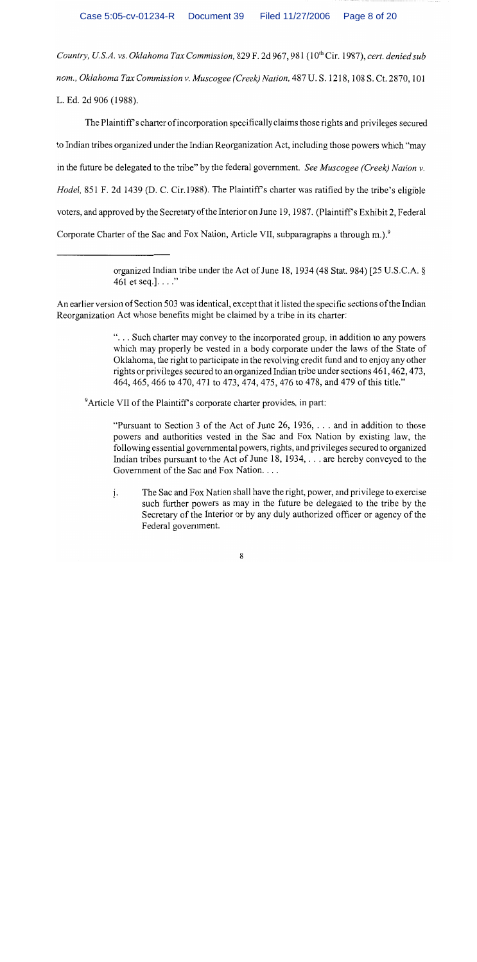Country, U.S.A. vs. Oklahoma Tax Commission, 829 F. 2d 967, 981 (10<sup>th</sup> Cir. 1987), cert. denied sub nom., Oklahoma Tax Commission v. Muscogee (Creek) Nation, 487 U.S. 1218, 108 S. Ct. 2870, 101 L. Ed. 2d 906 (1988).

The Plaintiff's charter of incorporation specifically claims those rights and privileges secured to Indian tribes organized under the Indian Reorganization Act, including those powers which "may in the future be delegated to the tribe" by the federal government. See Muscogee (Creek) Nation v. Hodel, 851 F. 2d 1439 (D. C. Cir.1988). The Plaintiff's charter was ratified by the tribe's eligible voters, and approved by the Secretary of the Interior on June 19, 1987. (Plaintiff's Exhibit 2, Federal Corporate Charter of the Sac and Fox Nation, Article VII, subparagraphs a through m.).<sup>9</sup>

> organized Indian tribe under the Act of June 18, 1934 (48 Stat. 984) [25 U.S.C.A. § 461 et seq.].  $\ldots$ "

An earlier version of Section 503 was identical, except that it listed the specific sections of the Indian Reorganization Act whose benefits might be claimed by a tribe in its charter:

> "... Such charter may convey to the incorporated group, in addition to any powers which may properly be vested in a body corporate under the laws of the State of Oklahoma, the right to participate in the revolving credit fund and to enjoy any other rights or privileges secured to an organized Indian tribe under sections 461, 462, 473, 464, 465, 466 to 470, 471 to 473, 474, 475, 476 to 478, and 479 of this title."

<sup>9</sup>Article VII of the Plaintiff's corporate charter provides, in part:

"Pursuant to Section 3 of the Act of June 26, 1936,  $\dots$  and in addition to those powers and authorities vested in the Sac and Fox Nation by existing law, the following essential governmental powers, rights, and privileges secured to organized Indian tribes pursuant to the Act of June 18, 1934, ... are hereby conveyed to the Government of the Sac and Fox Nation. . . .

The Sac and Fox Nation shall have the right, power, and privilege to exercise  $\mathbf{i}$ . such further powers as may in the future be delegated to the tribe by the Secretary of the Interior or by any duly authorized officer or agency of the Federal government.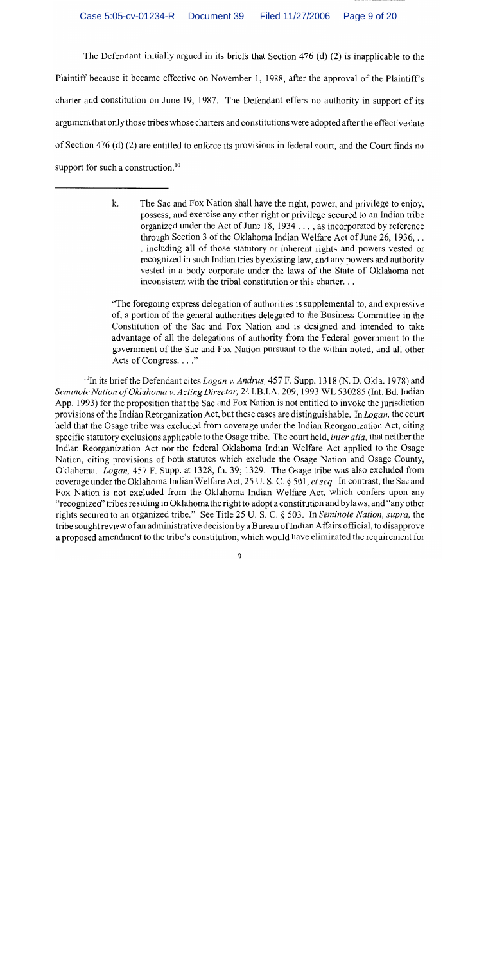The Defendant initially argued in its briefs that Section 476 (d) (2) is inapplicable to the Plaintiff because it became effective on November 1, 1988, after the approval of the Plaintiff's charter and constitution on June 19, 1987. The Defendant offers no authority in support of its argument that only those tribes whose charters and constitutions were adopted after the effective date of Section 476 (d) (2) are entitled to enforce its provisions in federal court, and the Court finds no support for such a construction.<sup>10</sup>

"The foregoing express delegation of authorities is supplemental to, and expressive of, a portion of the general authorities delegated to the Business Committee in the Constitution of the Sac and Fox Nation and is designed and intended to take advantage of all the delegations of authority from the Federal government to the government of the Sac and Fox Nation pursuant to the within noted, and all other Acts of Congress. . . ."

<sup>10</sup>In its brief the Defendant cites *Logan v. Andrus*, 457 F. Supp. 1318 (N. D. Okla. 1978) and Seminole Nation of Oklahoma v. Acting Director, 24 I.B.I.A. 209, 1993 WL 530285 (Int. Bd. Indian App. 1993) for the proposition that the Sac and Fox Nation is not entitled to invoke the jurisdiction provisions of the Indian Reorganization Act, but these cases are distinguishable. In Logan, the court held that the Osage tribe was excluded from coverage under the Indian Reorganization Act, citing specific statutory exclusions applicable to the Osage tribe. The court held, *inter alia*, that neither the Indian Reorganization Act nor the federal Oklahoma Indian Welfare Act applied to the Osage Nation, citing provisions of both statutes which exclude the Osage Nation and Osage County, Oklahoma. *Logan*, 457 F. Supp. at 1328, fn. 39; 1329. The Osage tribe was also excluded from coverage under the Oklahoma Indian Welfare Act, 25 U.S.C. § 501, et seq. In contrast, the Sac and Fox Nation is not excluded from the Oklahoma Indian Welfare Act, which confers upon any "recognized" tribes residing in Oklahoma the right to adopt a constitution and bylaws, and "any other rights secured to an organized tribe." See Title 25 U. S. C. § 503. In Seminole Nation, supra, the tribe sought review of an administrative decision by a Bureau of Indian Affairs official, to disapprove a proposed amendment to the tribe's constitution, which would have eliminated the requirement for

k. The Sac and Fox Nation shall have the right, power, and privilege to enjoy, possess, and exercise any other right or privilege secured to an Indian tribe organized under the Act of June 18, 1934 . . . , as incorporated by reference through Section 3 of the Oklahoma Indian Welfare Act of June 26, 1936... . including all of those statutory or inherent rights and powers vested or recognized in such Indian tries by existing law, and any powers and authority vested in a body corporate under the laws of the State of Oklahoma not inconsistent with the tribal constitution or this charter...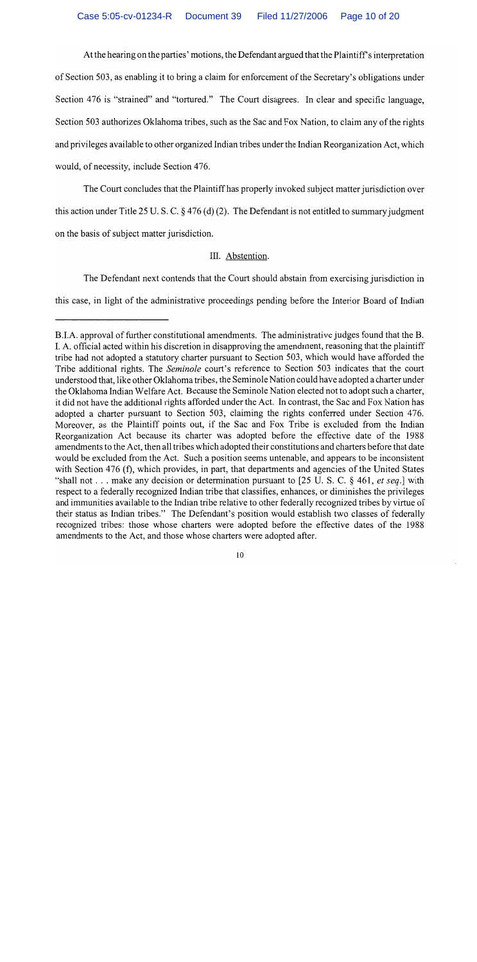At the hearing on the parties' motions, the Defendant argued that the Plaintiff's interpretation of Section 503, as enabling it to bring a claim for enforcement of the Secretary's obligations under Section 476 is "strained" and "tortured." The Court disagrees. In clear and specific language, Section 503 authorizes Oklahoma tribes, such as the Sac and Fox Nation, to claim any of the rights and privileges available to other organized Indian tribes under the Indian Reorganization Act, which would, of necessity, include Section 476.

The Court concludes that the Plaintiff has properly invoked subject matter jurisdiction over this action under Title 25 U.S.C.  $\S 476$  (d) (2). The Defendant is not entitled to summary judgment on the basis of subject matter jurisdiction.

## III. Abstention.

The Defendant next contends that the Court should abstain from exercising jurisdiction in

this case, in light of the administrative proceedings pending before the Interior Board of Indian

B.I.A. approval of further constitutional amendments. The administrative judges found that the B. I. A. official acted within his discretion in disapproving the amendment, reasoning that the plaintiff tribe had not adopted a statutory charter pursuant to Section 503, which would have afforded the Tribe additional rights. The Seminole court's reference to Section 503 indicates that the court understood that, like other Oklahoma tribes, the Seminole Nation could have adopted a charter under the Oklahoma Indian Welfare Act. Because the Seminole Nation elected not to adopt such a charter, it did not have the additional rights afforded under the Act. In contrast, the Sac and Fox Nation has adopted a charter pursuant to Section 503, claiming the rights conferred under Section 476. Moreover, as the Plaintiff points out, if the Sac and Fox Tribe is excluded from the Indian Reorganization Act because its charter was adopted before the effective date of the 1988 amendments to the Act, then all tribes which adopted their constitutions and charters before that date would be excluded from the Act. Such a position seems untenable, and appears to be inconsistent with Section 476 (f), which provides, in part, that departments and agencies of the United States "shall not . . . make any decision or determination pursuant to [25 U.S. C. § 461, et seq.] with respect to a federally recognized Indian tribe that classifies, enhances, or diminishes the privileges and immunities available to the Indian tribe relative to other federally recognized tribes by virtue of their status as Indian tribes." The Defendant's position would establish two classes of federally recognized tribes: those whose charters were adopted before the effective dates of the 1988 amendments to the Act, and those whose charters were adopted after.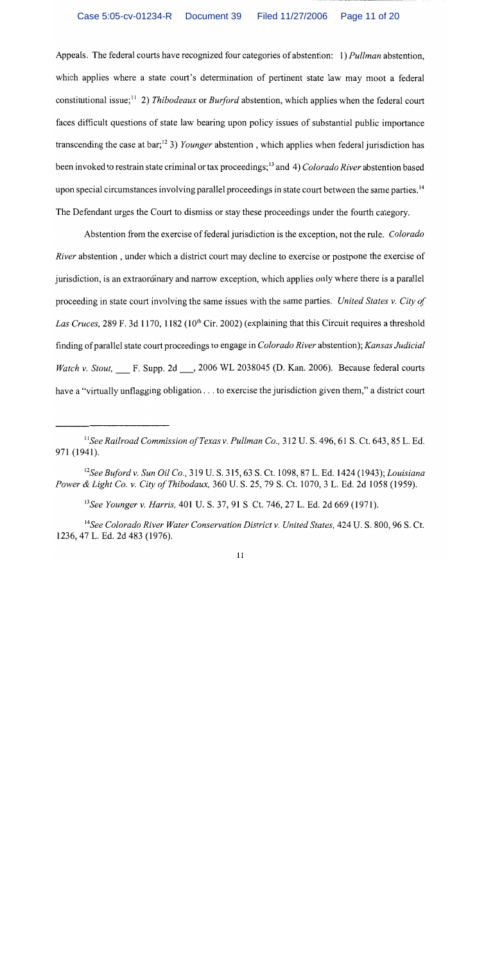#### Case 5:05-cv-01234-R Document 39 Filed 11/27/2006 Page 11 of 20

Appeals. The federal courts have recognized four categories of abstention: 1) Pullman abstention. which applies where a state court's determination of pertinent state law may moot a federal constitutional issue;<sup>11</sup> 2) Thibodeaux or Burford abstention, which applies when the federal court faces difficult questions of state law bearing upon policy issues of substantial public importance transcending the case at bar;<sup>12</sup> 3) *Younger* abstention, which applies when federal jurisdiction has been invoked to restrain state criminal or tax proceedings:<sup>13</sup> and 4) *Colorado River* abstention based upon special circumstances involving parallel proceedings in state court between the same parties.<sup>14</sup> The Defendant urges the Court to dismiss or stay these proceedings under the fourth category.

Abstention from the exercise of federal jurisdiction is the exception, not the rule. Colorado *River* abstention, under which a district court may decline to exercise or postpone the exercise of jurisdiction, is an extraordinary and narrow exception, which applies only where there is a parallel proceeding in state court involving the same issues with the same parties. United States v. City of Las Cruces, 289 F, 3d 1170, 1182 (10<sup>th</sup> Cir. 2002) (explaining that this Circuit requires a threshold finding of parallel state court proceedings to engage in Colorado River abstention); Kansas Judicial Watch v. Stout, F. Supp. 2d , 2006 WL 2038045 (D. Kan. 2006). Because federal courts have a "virtually unflagging obligation . . . to exercise the jurisdiction given them," a district court

<sup>&</sup>lt;sup>11</sup>See Railroad Commission of Texas v. Pullman Co., 312 U.S. 496, 61 S. Ct. 643, 85 L. Ed. 971 (1941).

<sup>&</sup>lt;sup>12</sup>See Buford v. Sun Oil Co., 319 U.S. 315, 63 S. Ct. 1098, 87 L. Ed. 1424 (1943); Louisiana Power & Light Co. v. City of Thibodaux, 360 U. S. 25, 79 S. Ct. 1070, 3 L. Ed. 2d 1058 (1959).

<sup>&</sup>lt;sup>13</sup>See Younger v. Harris. 401 U.S. 37, 91 S. Ct. 746, 27 L. Ed. 2d 669 (1971).

<sup>&</sup>lt;sup>14</sup>See Colorado River Water Conservation District v. United States, 424 U. S. 800, 96 S. Ct. 1236, 47 L. Ed. 2d 483 (1976).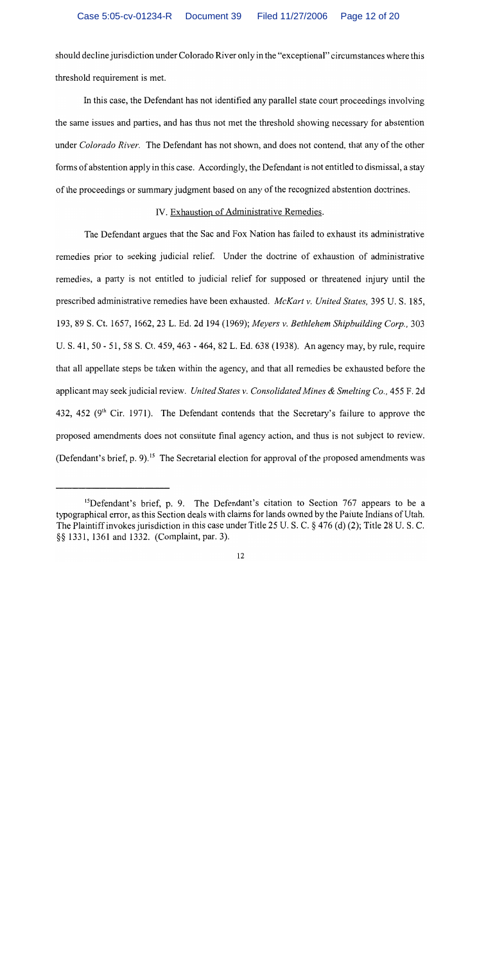should decline jurisdiction under Colorado River only in the "exceptional" circumstances where this threshold requirement is met.

In this case, the Defendant has not identified any parallel state court proceedings involving the same issues and parties, and has thus not met the threshold showing necessary for abstention under Colorado River. The Defendant has not shown, and does not contend, that any of the other forms of abstention apply in this case. Accordingly, the Defendant is not entitled to dismissal, a stay of the proceedings or summary judgment based on any of the recognized abstention doctrines.

### IV. Exhaustion of Administrative Remedies.

The Defendant argues that the Sac and Fox Nation has failed to exhaust its administrative remedies prior to seeking judicial relief. Under the doctrine of exhaustion of administrative remedies, a party is not entitled to judicial relief for supposed or threatened injury until the prescribed administrative remedies have been exhausted. McKart v. United States. 395 U.S. 185. 193, 89 S. Ct. 1657, 1662, 23 L. Ed. 2d 194 (1969); Mevers v. Bethlehem Shipbuilding Corp., 303 U. S. 41, 50 - 51, 58 S. Ct. 459, 463 - 464, 82 L. Ed. 638 (1938). An agency may, by rule, require that all appellate steps be taken within the agency, and that all remedies be exhausted before the applicant may seek judicial review. United States v. Consolidated Mines & Smelting Co., 455 F. 2d 432. 452 (9<sup>th</sup> Cir. 1971). The Defendant contends that the Secretary's failure to approve the proposed amendments does not constitute final agency action, and thus is not subject to review. (Defendant's brief, p. 9).<sup>15</sup> The Secretarial election for approval of the proposed amendments was

<sup>&</sup>lt;sup>15</sup>Defendant's brief, p. 9. The Defendant's citation to Section 767 appears to be a typographical error, as this Section deals with claims for lands owned by the Paiute Indians of Utah. The Plaintiff invokes jurisdiction in this case under Title 25 U.S.C.  $\S$  476 (d) (2); Title 28 U.S.C. §§ 1331, 1361 and 1332. (Complaint, par. 3).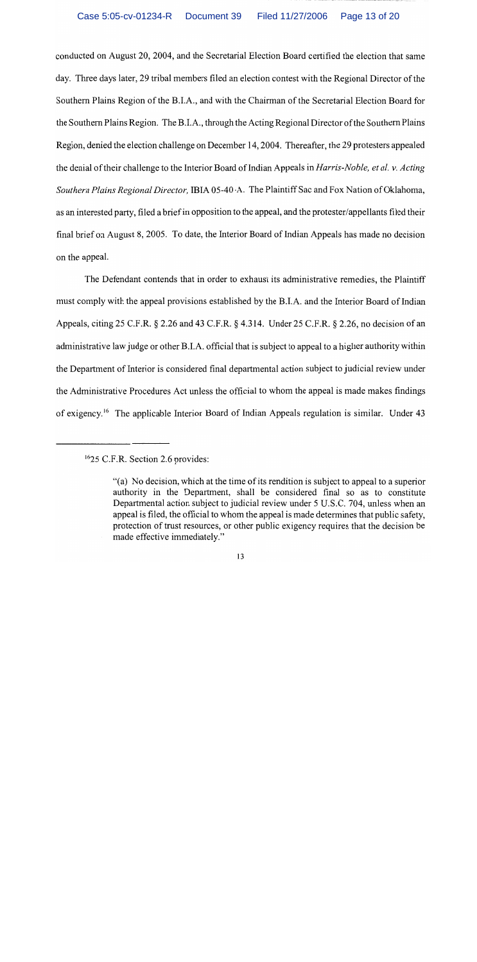#### Case 5:05-cv-01234-R Document 39 Filed 11/27/2006 Page 13 of 20

conducted on August 20, 2004, and the Secretarial Election Board certified the election that same day. Three days later, 29 tribal members filed an election contest with the Regional Director of the Southern Plains Region of the B.I.A., and with the Chairman of the Secretarial Election Board for the Southern Plains Region. The B.I.A., through the Acting Regional Director of the Southern Plains Region, denied the election challenge on December 14, 2004. Thereafter, the 29 protesters appealed the denial of their challenge to the Interior Board of Indian Appeals in *Harris-Noble, et al. v. Acting* Southern Plains Regional Director, IBIA 05-40-A. The Plaintiff Sac and Fox Nation of Oklahoma, as an interested party, filed a brief in opposition to the appeal, and the protester/appellants filed their final brief on August 8, 2005. To date, the Interior Board of Indian Appeals has made no decision on the appeal.

The Defendant contends that in order to exhaust its administrative remedies, the Plaintiff must comply with the appeal provisions established by the B.I.A. and the Interior Board of Indian Appeals, citing 25 C.F.R. § 2.26 and 43 C.F.R. § 4.314. Under 25 C.F.R. § 2.26, no decision of an administrative law judge or other B.I.A. official that is subject to appeal to a higher authority within the Department of Interior is considered final departmental action subject to judicial review under the Administrative Procedures Act unless the official to whom the appeal is made makes findings of exigency.<sup>16</sup> The applicable Interior Board of Indian Appeals regulation is similar. Under 43

<sup>&</sup>lt;sup>16</sup>25 C.F.R. Section 2.6 provides:

<sup>&</sup>quot;(a) No decision, which at the time of its rendition is subject to appeal to a superior authority in the Department, shall be considered final so as to constitute Departmental action subject to judicial review under 5 U.S.C. 704, unless when an appeal is filed, the official to whom the appeal is made determines that public safety. protection of trust resources, or other public exigency requires that the decision be made effective immediately."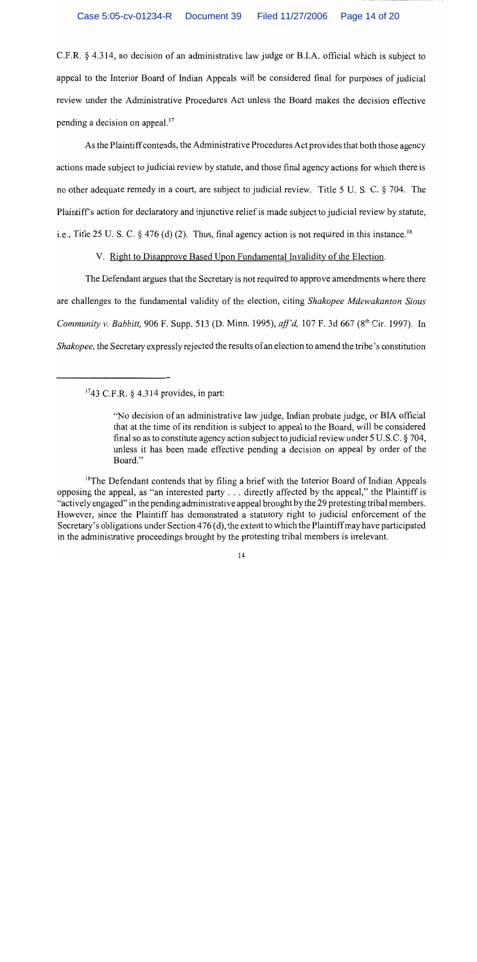C.F.R.  $\&$  4.314, no decision of an administrative law judge or B.I.A. official which is subject to appeal to the Interior Board of Indian Appeals will be considered final for purposes of judicial review under the Administrative Procedures Act unless the Board makes the decision effective pending a decision on appeal.<sup>17</sup>

As the Plaintiff contends, the Administrative Procedures Act provides that both those agency actions made subject to judicial review by statute, and those final agency actions for which there is no other adequate remedy in a court, are subject to judicial review. Title 5 U.S.C. 8 704. The Plaintiff's action for declaratory and injunctive relief is made subject to judicial review by statute. i.e., Title 25 U. S. C.  $\frac{6}{9}$  476 (d) (2). Thus, final agency action is not required in this instance.<sup>18</sup>

V. Right to Disapprove Based Upon Fundamental Invalidity of the Election.

The Defendant argues that the Secretary is not required to approve amendments where there are challenges to the fundamental validity of the election, citing Shakopee Mdewakanton Sious Community v. Babbitt. 906 F. Supp. 513 (D. Minn. 1995), aff'd. 107 F. 3d 667 (8<sup>th</sup> Cir. 1997). In *Shakopee*, the Secretary expressly rejected the results of an election to amend the tribe's constitution

 $1743$  C.F.R. § 4.314 provides, in part:

<sup>&</sup>quot;No decision of an administrative law judge, Indian probate judge, or BIA official that at the time of its rendition is subject to appeal to the Board, will be considered final so as to constitute agency action subject to judicial review under 5 U.S.C. § 704, unless it has been made effective pending a decision on appeal by order of the Board."

<sup>&</sup>lt;sup>18</sup>The Defendant contends that by filing a brief with the Interior Board of Indian Appeals opposing the appeal, as "an interested party . . . directly affected by the appeal," the Plaintiff is "actively engaged" in the pending administrative appeal brought by the 29 protesting tribal members. However, since the Plaintiff has demonstrated a statutory right to judicial enforcement of the Secretary's obligations under Section 476 (d), the extent to which the Plaintiff may have participated in the administrative proceedings brought by the protesting tribal members is irrelevant.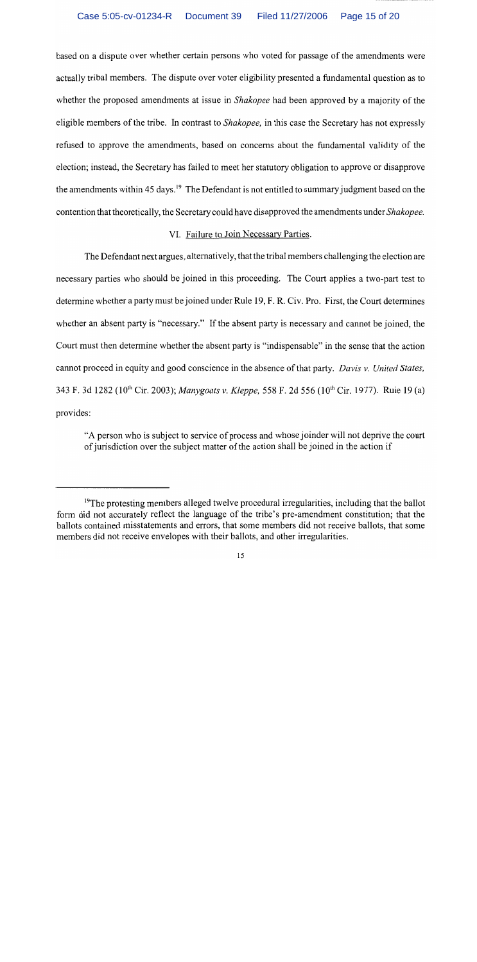based on a dispute over whether certain persons who voted for passage of the amendments were actually tribal members. The dispute over voter eligibility presented a fundamental question as to whether the proposed amendments at issue in *Shakopee* had been approved by a majority of the eligible members of the tribe. In contrast to *Shakopee*, in this case the Secretary has not expressly refused to approve the amendments, based on concerns about the fundamental validity of the election; instead, the Secretary has failed to meet her statutory obligation to approve or disapprove the amendments within 45 days.<sup>19</sup> The Defendant is not entitled to summary judgment based on the contention that theoretically, the Secretary could have disapproved the amendments under *Shakopee*.

### VI. Failure to Join Necessary Parties.

The Defendant next argues, alternatively, that the tribal members challenging the election are necessary parties who should be joined in this proceeding. The Court applies a two-part test to determine whether a party must be joined under Rule 19, F. R. Civ. Pro. First, the Court determines whether an absent party is "necessary." If the absent party is necessary and cannot be joined, the Court must then determine whether the absent party is "indispensable" in the sense that the action cannot proceed in equity and good conscience in the absence of that party. Davis v. United States. 343 F. 3d 1282 (10<sup>th</sup> Cir. 2003); Manygoats v. Kleppe, 558 F. 2d 556 (10<sup>th</sup> Cir. 1977). Rule 19 (a) provides:

"A person who is subject to service of process and whose joinder will not deprive the court of jurisdiction over the subject matter of the action shall be joined in the action if

<sup>&</sup>lt;sup>19</sup>The protesting members alleged twelve procedural irregularities, including that the ballot form did not accurately reflect the language of the tribe's pre-amendment constitution; that the ballots contained misstatements and errors, that some members did not receive ballots, that some members did not receive envelopes with their ballots, and other irregularities.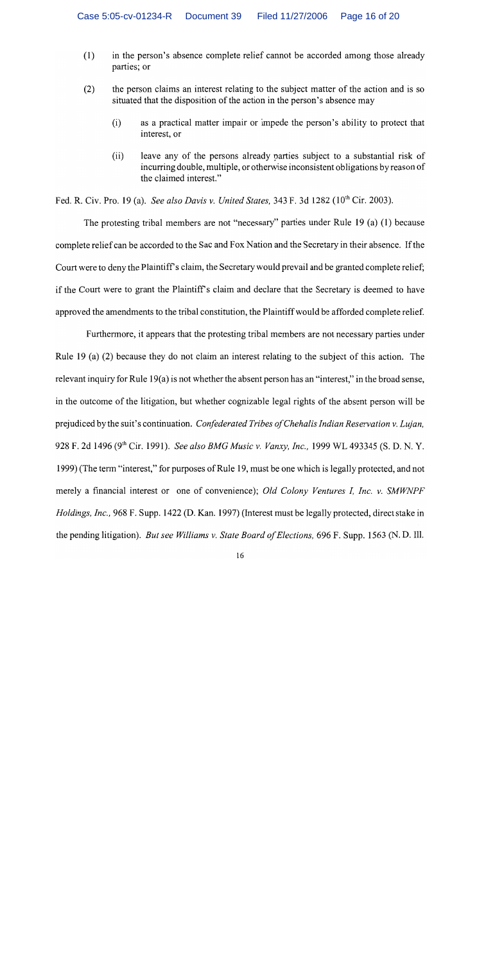- in the person's absence complete relief cannot be accorded among those already  $(1)$ parties: or
- $(2)$ the person claims an interest relating to the subject matter of the action and is so situated that the disposition of the action in the person's absence may
	- as a practical matter impair or impede the person's ability to protect that  $(i)$ interest, or
	- $(ii)$ leave any of the persons already parties subject to a substantial risk of incurring double, multiple, or otherwise inconsistent obligations by reason of the claimed interest."

Fed. R. Civ. Pro. 19 (a). See also Davis v. United States, 343 F. 3d 1282 (10<sup>th</sup> Cir. 2003).

The protesting tribal members are not "necessary" parties under Rule 19 (a) (1) because complete relief can be accorded to the Sac and Fox Nation and the Secretary in their absence. If the Court were to deny the Plaintiff's claim, the Secretary would prevail and be granted complete relief: if the Court were to grant the Plaintiff's claim and declare that the Secretary is deemed to have approved the amendments to the tribal constitution, the Plaintiff would be afforded complete relief.

Furthermore, it appears that the protesting tribal members are not necessary parties under Rule 19 (a) (2) because they do not claim an interest relating to the subject of this action. The relevant inquiry for Rule 19(a) is not whether the absent person has an "interest," in the broad sense, in the outcome of the litigation, but whether cognizable legal rights of the absent person will be prejudiced by the suit's continuation. Confederated Tribes of Chehalis Indian Reservation v. Lujan, 928 F. 2d 1496 (9th Cir. 1991). See also BMG Music v. Vanxy, Inc., 1999 WL 493345 (S. D. N. Y. 1999) (The term "interest," for purposes of Rule 19, must be one which is legally protected, and not merely a financial interest or one of convenience); Old Colony Ventures I, Inc. v. SMWNPF Holdings, Inc., 968 F. Supp. 1422 (D. Kan. 1997) (Interest must be legally protected, direct stake in the pending litigation). But see Williams v. State Board of Elections, 696 F. Supp. 1563 (N. D. Ill.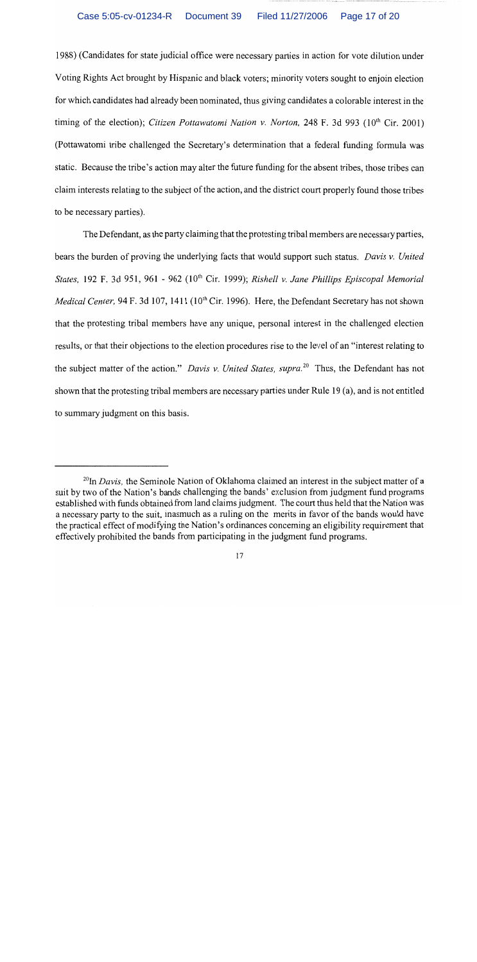1988) (Candidates for state judicial office were necessary parties in action for vote dilution under Voting Rights Act brought by Hispanic and black voters; minority voters sought to enjoin election for which candidates had already been nominated, thus giving candidates a colorable interest in the timing of the election); Citizen Pottawatomi Nation v. Norton, 248 F. 3d 993 ( $10<sup>th</sup>$  Cir. 2001) (Pottawatomi tribe challenged the Secretary's determination that a federal funding formula was static. Because the tribe's action may alter the future funding for the absent tribes, those tribes can claim interests relating to the subject of the action, and the district court properly found those tribes to be necessary parties).

The Defendant, as the party claiming that the protesting tribal members are necessary parties, bears the burden of proving the underlying facts that would support such status. Davis v. United States, 192 F. 3d 951, 961 - 962 (10<sup>th</sup> Cir. 1999); Rishell v. Jane Phillips Episcopal Memorial Medical Center, 94 F. 3d 107, 1411 (10<sup>th</sup> Cir. 1996). Here, the Defendant Secretary has not shown that the protesting tribal members have any unique, personal interest in the challenged election results, or that their objections to the election procedures rise to the level of an "interest relating to the subject matter of the action." Davis v. United States, supra.<sup>20</sup> Thus, the Defendant has not shown that the protesting tribal members are necessary parties under Rule 19 (a), and is not entitled to summary judgment on this basis.

 $^{20}$ In *Davis*, the Seminole Nation of Oklahoma claimed an interest in the subject matter of a suit by two of the Nation's bands challenging the bands' exclusion from judgment fund programs established with funds obtained from land claims judgment. The court thus held that the Nation was a necessary party to the suit, inasmuch as a ruling on the merits in favor of the bands would have the practical effect of modifying the Nation's ordinances concerning an eligibility requirement that effectively prohibited the bands from participating in the judgment fund programs.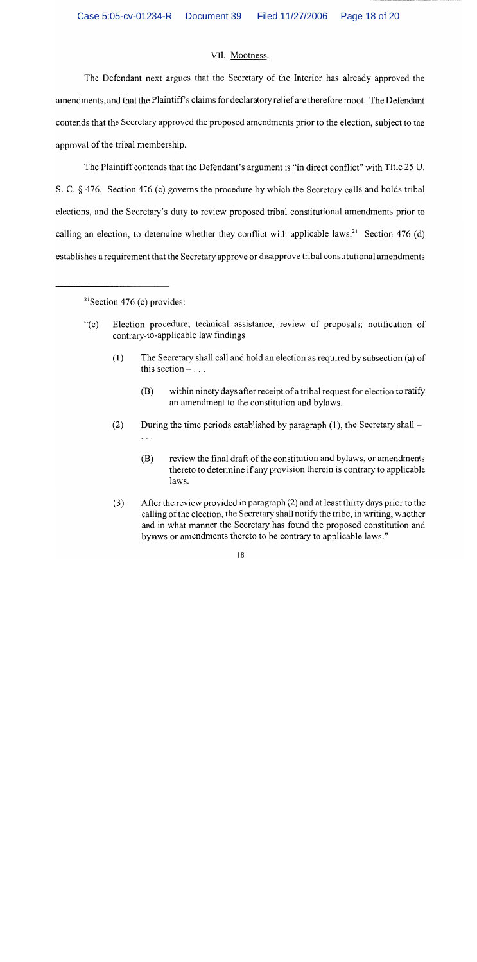#### VII. Mootness.

The Defendant next argues that the Secretary of the Interior has already approved the amendments, and that the Plaintiff's claims for declaratory relief are therefore moot. The Defendant contends that the Secretary approved the proposed amendments prior to the election, subject to the approval of the tribal membership.

The Plaintiff contends that the Defendant's argument is "in direct conflict" with Title 25 U. S. C. § 476. Section 476 (c) governs the procedure by which the Secretary calls and holds tribal elections, and the Secretary's duty to review proposed tribal constitutional amendments prior to calling an election, to determine whether they conflict with applicable laws.<sup>21</sup> Section 476 (d) establishes a requirement that the Secretary approve or disapprove tribal constitutional amendments

<sup>21</sup> Section 476 (c) provides:

- $``(c)$ Election procedure; technical assistance; review of proposals; notification of contrary-to-applicable law findings
	- The Secretary shall call and hold an election as required by subsection (a) of  $(1)$ this section  $- \dots$ 
		- $(B)$ within ninety days after receipt of a tribal request for election to ratify an amendment to the constitution and bylaws.
	- During the time periods established by paragraph  $(1)$ , the Secretary shall  $(2)$  $\ldots$ 
		- review the final draft of the constitution and bylaws, or amendments (B) thereto to determine if any provision therein is contrary to applicable laws.
	- $(3)$ After the review provided in paragraph (2) and at least thirty days prior to the calling of the election, the Secretary shall notify the tribe, in writing, whether and in what manner the Secretary has found the proposed constitution and bylaws or amendments thereto to be contrary to applicable laws."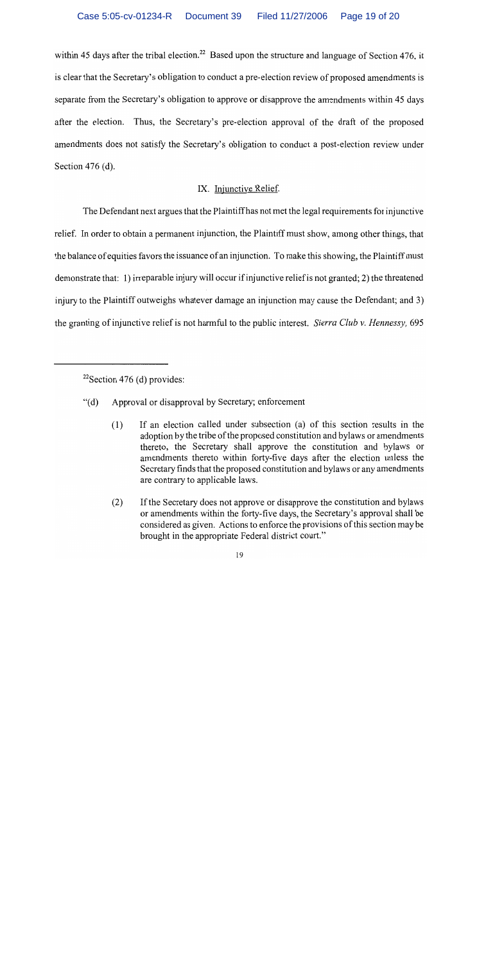within 45 days after the tribal election.<sup>22</sup> Based upon the structure and language of Section 476, it is clear that the Secretary's obligation to conduct a pre-election review of proposed amendments is separate from the Secretary's obligation to approve or disapprove the amendments within 45 days after the election. Thus, the Secretary's pre-election approval of the draft of the proposed amendments does not satisfy the Secretary's obligation to conduct a post-election review under Section  $476$  (d).

# IX. Injunctive Relief.

The Defendant next argues that the Plaintiff has not met the legal requirements for injunctive relief. In order to obtain a permanent injunction, the Plaintiff must show, among other things, that the balance of equities favors the issuance of an injunction. To make this showing, the Plaintiff must demonstrate that: 1) irreparable injury will occur if injunctive relief is not granted; 2) the threatened injury to the Plaintiff outweighs whatever damage an injunction may cause the Defendant; and 3) the granting of injunctive relief is not harmful to the public interest. Sierra Club v. Hennessy, 695

- Approval or disapproval by Secretary; enforcement  $\lq( d)$ 
	- If an election called under subsection (a) of this section results in the  $(1)$ adoption by the tribe of the proposed constitution and bylaws or amendments thereto, the Secretary shall approve the constitution and bylaws or amendments thereto within forty-five days after the election unless the Secretary finds that the proposed constitution and bylaws or any amendments are contrary to applicable laws.
	- If the Secretary does not approve or disapprove the constitution and bylaws  $(2)$ or amendments within the forty-five days, the Secretary's approval shall be considered as given. Actions to enforce the provisions of this section may be brought in the appropriate Federal district court."

<sup>&</sup>lt;sup>22</sup>Section 476 (d) provides: